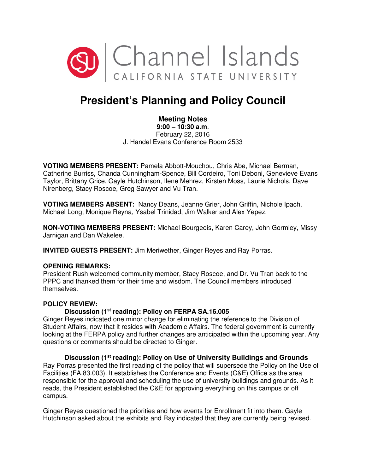

# **President's Planning and Policy Council**

## **Meeting Notes**

**9:00 – 10:30 a.m**. February 22, 2016 J. Handel Evans Conference Room 2533

**VOTING MEMBERS PRESENT:** Pamela Abbott-Mouchou, Chris Abe, Michael Berman, Catherine Burriss, Chanda Cunningham-Spence, Bill Cordeiro, Toni Deboni, Genevieve Evans Taylor, Brittany Grice, Gayle Hutchinson, Ilene Mehrez, Kirsten Moss, Laurie Nichols, Dave Nirenberg, Stacy Roscoe, Greg Sawyer and Vu Tran.

**VOTING MEMBERS ABSENT:** Nancy Deans, Jeanne Grier, John Griffin, Nichole Ipach, Michael Long, Monique Reyna, Ysabel Trinidad, Jim Walker and Alex Yepez.

**NON-VOTING MEMBERS PRESENT:** Michael Bourgeois, Karen Carey, John Gormley, Missy Jarnigan and Dan Wakelee.

**INVITED GUESTS PRESENT:** Jim Meriwether, Ginger Reyes and Ray Porras.

#### **OPENING REMARKS:**

President Rush welcomed community member, Stacy Roscoe, and Dr. Vu Tran back to the PPPC and thanked them for their time and wisdom. The Council members introduced themselves.

### **POLICY REVIEW:**

#### **Discussion (1st reading): Policy on FERPA SA.16.005**

Ginger Reyes indicated one minor change for eliminating the reference to the Division of Student Affairs, now that it resides with Academic Affairs. The federal government is currently looking at the FERPA policy and further changes are anticipated within the upcoming year. Any questions or comments should be directed to Ginger.

 **Discussion (1st reading): Policy on Use of University Buildings and Grounds** Ray Porras presented the first reading of the policy that will supersede the Policy on the Use of Facilities (FA.83.003). It establishes the Conference and Events (C&E) Office as the area responsible for the approval and scheduling the use of university buildings and grounds. As it reads, the President established the C&E for approving everything on this campus or off campus.

Ginger Reyes questioned the priorities and how events for Enrollment fit into them. Gayle Hutchinson asked about the exhibits and Ray indicated that they are currently being revised.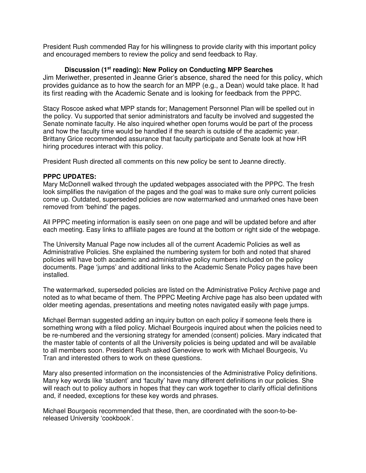President Rush commended Ray for his willingness to provide clarity with this important policy and encouraged members to review the policy and send feedback to Ray.

#### **Discussion (1st reading): New Policy on Conducting MPP Searches**

Jim Meriwether, presented in Jeanne Grier's absence, shared the need for this policy, which provides guidance as to how the search for an MPP (e.g., a Dean) would take place. It had its first reading with the Academic Senate and is looking for feedback from the PPPC.

Stacy Roscoe asked what MPP stands for; Management Personnel Plan will be spelled out in the policy. Vu supported that senior administrators and faculty be involved and suggested the Senate nominate faculty. He also inquired whether open forums would be part of the process and how the faculty time would be handled if the search is outside of the academic year. Brittany Grice recommended assurance that faculty participate and Senate look at how HR hiring procedures interact with this policy.

President Rush directed all comments on this new policy be sent to Jeanne directly.

#### **PPPC UPDATES:**

Mary McDonnell walked through the updated webpages associated with the PPPC. The fresh look simplifies the navigation of the pages and the goal was to make sure only current policies come up. Outdated, superseded policies are now watermarked and unmarked ones have been removed from 'behind' the pages.

All PPPC meeting information is easily seen on one page and will be updated before and after each meeting. Easy links to affiliate pages are found at the bottom or right side of the webpage.

The University Manual Page now includes all of the current Academic Policies as well as Administrative Policies. She explained the numbering system for both and noted that shared policies will have both academic and administrative policy numbers included on the policy documents. Page 'jumps' and additional links to the Academic Senate Policy pages have been installed.

The watermarked, superseded policies are listed on the Administrative Policy Archive page and noted as to what became of them. The PPPC Meeting Archive page has also been updated with older meeting agendas, presentations and meeting notes navigated easily with page jumps.

Michael Berman suggested adding an inquiry button on each policy if someone feels there is something wrong with a filed policy. Michael Bourgeois inquired about when the policies need to be re-numbered and the versioning strategy for amended (consent) policies. Mary indicated that the master table of contents of all the University policies is being updated and will be available to all members soon. President Rush asked Genevieve to work with Michael Bourgeois, Vu Tran and interested others to work on these questions.

Mary also presented information on the inconsistencies of the Administrative Policy definitions. Many key words like 'student' and 'faculty' have many different definitions in our policies. She will reach out to policy authors in hopes that they can work together to clarify official definitions and, if needed, exceptions for these key words and phrases.

Michael Bourgeois recommended that these, then, are coordinated with the soon-to-bereleased University 'cookbook'.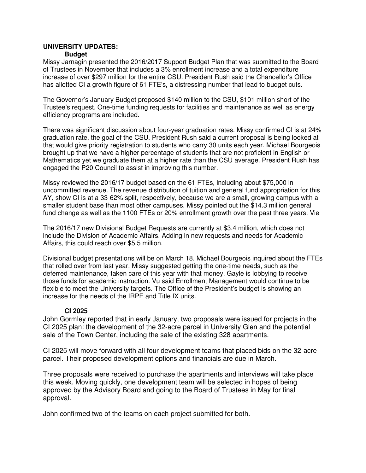#### **UNIVERSITY UPDATES: Budget**

Missy Jarnagin presented the 2016/2017 Support Budget Plan that was submitted to the Board of Trustees in November that includes a 3% enrollment increase and a total expenditure increase of over \$297 million for the entire CSU. President Rush said the Chancellor's Office has allotted CI a growth figure of 61 FTE's, a distressing number that lead to budget cuts.

The Governor's January Budget proposed \$140 million to the CSU, \$101 million short of the Trustee's request. One-time funding requests for facilities and maintenance as well as energy efficiency programs are included.

There was significant discussion about four-year graduation rates. Missy confirmed CI is at 24% graduation rate, the goal of the CSU. President Rush said a current proposal is being looked at that would give priority registration to students who carry 30 units each year. Michael Bourgeois brought up that we have a higher percentage of students that are not proficient in English or Mathematics yet we graduate them at a higher rate than the CSU average. President Rush has engaged the P20 Council to assist in improving this number.

Missy reviewed the 2016/17 budget based on the 61 FTEs, including about \$75,000 in uncommitted revenue. The revenue distribution of tuition and general fund appropriation for this AY, show CI is at a 33-62% split, respectively, because we are a small, growing campus with a smaller student base than most other campuses. Missy pointed out the \$14.3 million general fund change as well as the 1100 FTEs or 20% enrollment growth over the past three years. Vie

The 2016/17 new Divisional Budget Requests are currently at \$3.4 million, which does not include the Division of Academic Affairs. Adding in new requests and needs for Academic Affairs, this could reach over \$5.5 million.

Divisional budget presentations will be on March 18. Michael Bourgeois inquired about the FTEs that rolled over from last year. Missy suggested getting the one-time needs, such as the deferred maintenance, taken care of this year with that money. Gayle is lobbying to receive those funds for academic instruction. Vu said Enrollment Management would continue to be flexible to meet the University targets. The Office of the President's budget is showing an increase for the needs of the IRPE and Title IX units.

## **CI 2025**

John Gormley reported that in early January, two proposals were issued for projects in the CI 2025 plan: the development of the 32-acre parcel in University Glen and the potential sale of the Town Center, including the sale of the existing 328 apartments.

CI 2025 will move forward with all four development teams that placed bids on the 32-acre parcel. Their proposed development options and financials are due in March.

Three proposals were received to purchase the apartments and interviews will take place this week. Moving quickly, one development team will be selected in hopes of being approved by the Advisory Board and going to the Board of Trustees in May for final approval.

John confirmed two of the teams on each project submitted for both.